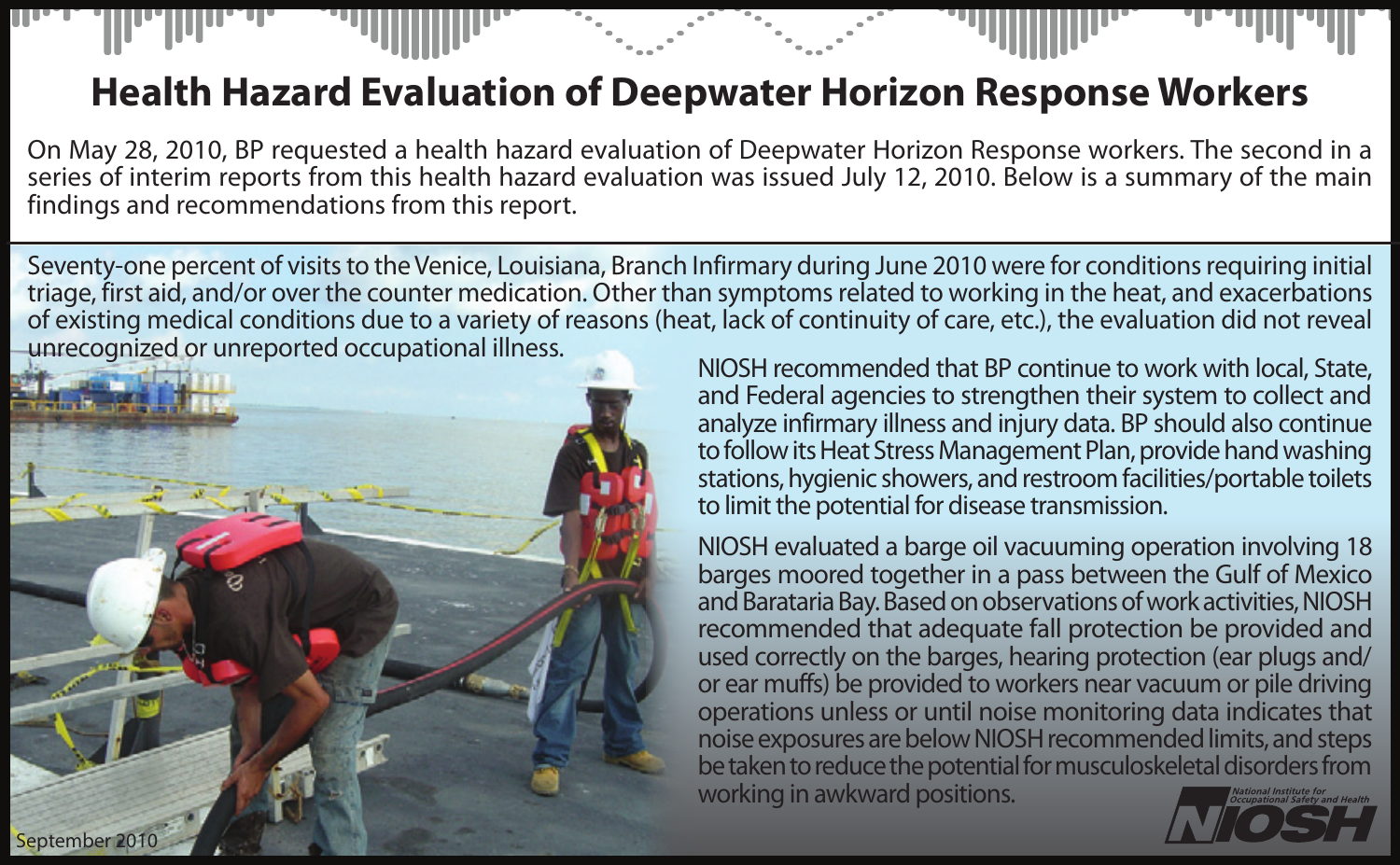## **Health Hazard Evaluation of Deepwater Horizon Response Workers**

On May 28, 2010, BP requested a health hazard evaluation of Deepwater Horizon Response workers. The second in a series of interim reports from this health hazard evaluation was issued July 12, 2010. Below is a summary of the main findings and recommendations from this report.

Seventy-one percent of visits to the Venice, Louisiana, Branch Infirmary during June 2010 were for conditions requiring initial triage, first aid, and/or over the counter medication. Other than symptoms related to working in the heat, and exacerbations of existing medical conditions due to a variety of reasons (heat, lack of continuity of care, etc.), the evaluation did not reveal



NIOSH recommended that BP continue to work with local, State, and Federal agencies to strengthen their system to collect and analyze infirmary illness and injury data. BP should also continue to follow its Heat Stress Management Plan, provide hand washing stations, hygienic showers, and restroom facilities/portable toilets to limit the potential for disease transmission.

NIOSH evaluated a barge oil vacuuming operation involving 18 barges moored together in a pass between the Gulf of Mexico and Barataria Bay. Based on observations of work activities, NIOSH recommended that adequate fall protection be provided and used correctly on the barges, hearing protection (ear plugs and/ or ear muffs) be provided to workers near vacuum or pile driving operations unless or until noise monitoring data indicates that noise exposures are below NIOSH recommended limits, and steps be taken to reduce the potential for musculoskeletal disorders from working in awkward positions.